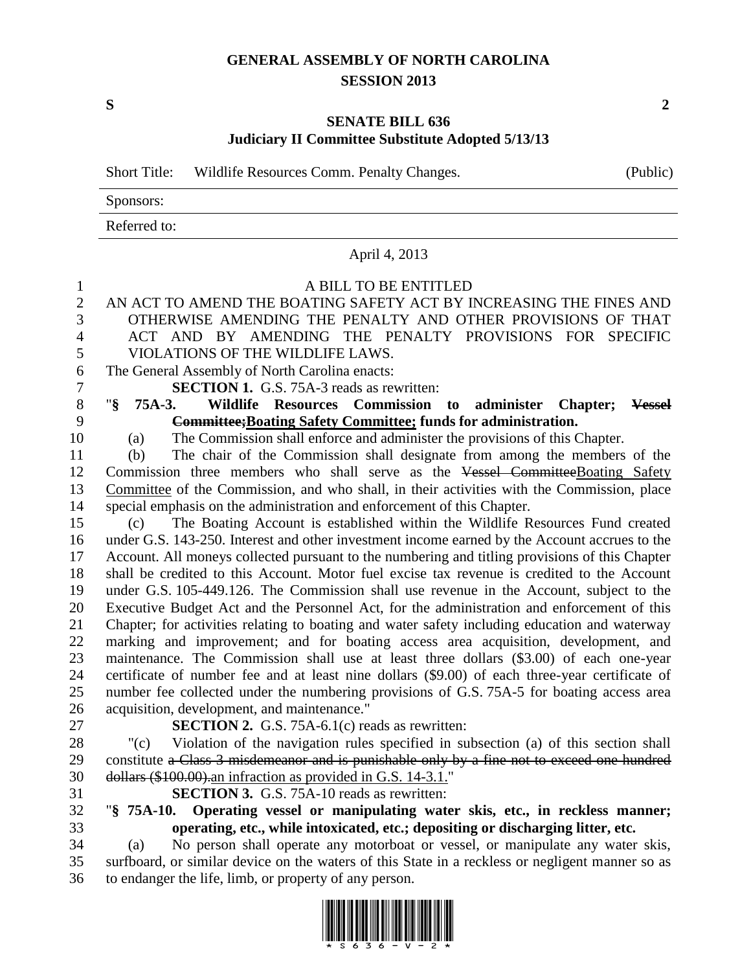## **GENERAL ASSEMBLY OF NORTH CAROLINA SESSION 2013**

**S 2**

## **SENATE BILL 636 Judiciary II Committee Substitute Adopted 5/13/13**

|                | (Public)<br><b>Short Title:</b><br>Wildlife Resources Comm. Penalty Changes.                                                                                                                |  |  |  |  |  |
|----------------|---------------------------------------------------------------------------------------------------------------------------------------------------------------------------------------------|--|--|--|--|--|
|                | Sponsors:                                                                                                                                                                                   |  |  |  |  |  |
|                | Referred to:                                                                                                                                                                                |  |  |  |  |  |
|                | April 4, 2013                                                                                                                                                                               |  |  |  |  |  |
| $\mathbf{1}$   | A BILL TO BE ENTITLED                                                                                                                                                                       |  |  |  |  |  |
| $\overline{2}$ | AN ACT TO AMEND THE BOATING SAFETY ACT BY INCREASING THE FINES AND                                                                                                                          |  |  |  |  |  |
| 3              | OTHERWISE AMENDING THE PENALTY AND OTHER PROVISIONS OF THAT                                                                                                                                 |  |  |  |  |  |
| 4              | ACT AND BY AMENDING THE PENALTY PROVISIONS FOR SPECIFIC                                                                                                                                     |  |  |  |  |  |
| 5              | VIOLATIONS OF THE WILDLIFE LAWS.                                                                                                                                                            |  |  |  |  |  |
| 6              | The General Assembly of North Carolina enacts:                                                                                                                                              |  |  |  |  |  |
| 7              | <b>SECTION 1.</b> G.S. 75A-3 reads as rewritten:                                                                                                                                            |  |  |  |  |  |
| $8\,$          | "§<br>Wildlife Resources Commission<br>75A-3.<br>to<br>administer<br>Chapter; Vessel                                                                                                        |  |  |  |  |  |
| 9              | Committee; Boating Safety Committee; funds for administration.                                                                                                                              |  |  |  |  |  |
| 10             | The Commission shall enforce and administer the provisions of this Chapter.<br>(a)                                                                                                          |  |  |  |  |  |
| 11             | The chair of the Commission shall designate from among the members of the<br>(b)                                                                                                            |  |  |  |  |  |
| 12             | Commission three members who shall serve as the Vessel Committee Boating Safety                                                                                                             |  |  |  |  |  |
| 13             | Committee of the Commission, and who shall, in their activities with the Commission, place                                                                                                  |  |  |  |  |  |
| 14             | special emphasis on the administration and enforcement of this Chapter.                                                                                                                     |  |  |  |  |  |
| 15             | The Boating Account is established within the Wildlife Resources Fund created<br>(c)                                                                                                        |  |  |  |  |  |
| 16             | under G.S. 143-250. Interest and other investment income earned by the Account accrues to the                                                                                               |  |  |  |  |  |
| 17             | Account. All moneys collected pursuant to the numbering and titling provisions of this Chapter                                                                                              |  |  |  |  |  |
| 18             | shall be credited to this Account. Motor fuel excise tax revenue is credited to the Account                                                                                                 |  |  |  |  |  |
| 19             | under G.S. 105-449.126. The Commission shall use revenue in the Account, subject to the                                                                                                     |  |  |  |  |  |
| 20             | Executive Budget Act and the Personnel Act, for the administration and enforcement of this                                                                                                  |  |  |  |  |  |
| 21             | Chapter; for activities relating to boating and water safety including education and waterway                                                                                               |  |  |  |  |  |
| 22             | marking and improvement; and for boating access area acquisition, development, and                                                                                                          |  |  |  |  |  |
| 23<br>24       | maintenance. The Commission shall use at least three dollars (\$3.00) of each one-year                                                                                                      |  |  |  |  |  |
| 25             | certificate of number fee and at least nine dollars (\$9.00) of each three-year certificate of<br>number fee collected under the numbering provisions of G.S. 75A-5 for boating access area |  |  |  |  |  |
| 26             | acquisition, development, and maintenance."                                                                                                                                                 |  |  |  |  |  |
| 27             | <b>SECTION 2.</b> G.S. 75A-6.1 $(c)$ reads as rewritten:                                                                                                                                    |  |  |  |  |  |
| 28             | Violation of the navigation rules specified in subsection (a) of this section shall<br>"(c)                                                                                                 |  |  |  |  |  |
| 29             | constitute a Class 3 misdemeanor and is punishable only by a fine not to exceed one hundred                                                                                                 |  |  |  |  |  |
| 30             | dollars (\$100.00). an infraction as provided in G.S. 14-3.1."                                                                                                                              |  |  |  |  |  |
| 31             | <b>SECTION 3.</b> G.S. 75A-10 reads as rewritten:                                                                                                                                           |  |  |  |  |  |
| 32             | Operating vessel or manipulating water skis, etc., in reckless manner;<br>$"§ 75A-10.$                                                                                                      |  |  |  |  |  |
| 33             | operating, etc., while intoxicated, etc.; depositing or discharging litter, etc.                                                                                                            |  |  |  |  |  |
| 34             | No person shall operate any motorboat or vessel, or manipulate any water skis,<br>(a)                                                                                                       |  |  |  |  |  |
| 35             | surfboard, or similar device on the waters of this State in a reckless or negligent manner so as                                                                                            |  |  |  |  |  |
| 36             | to endanger the life, limb, or property of any person.                                                                                                                                      |  |  |  |  |  |
|                |                                                                                                                                                                                             |  |  |  |  |  |

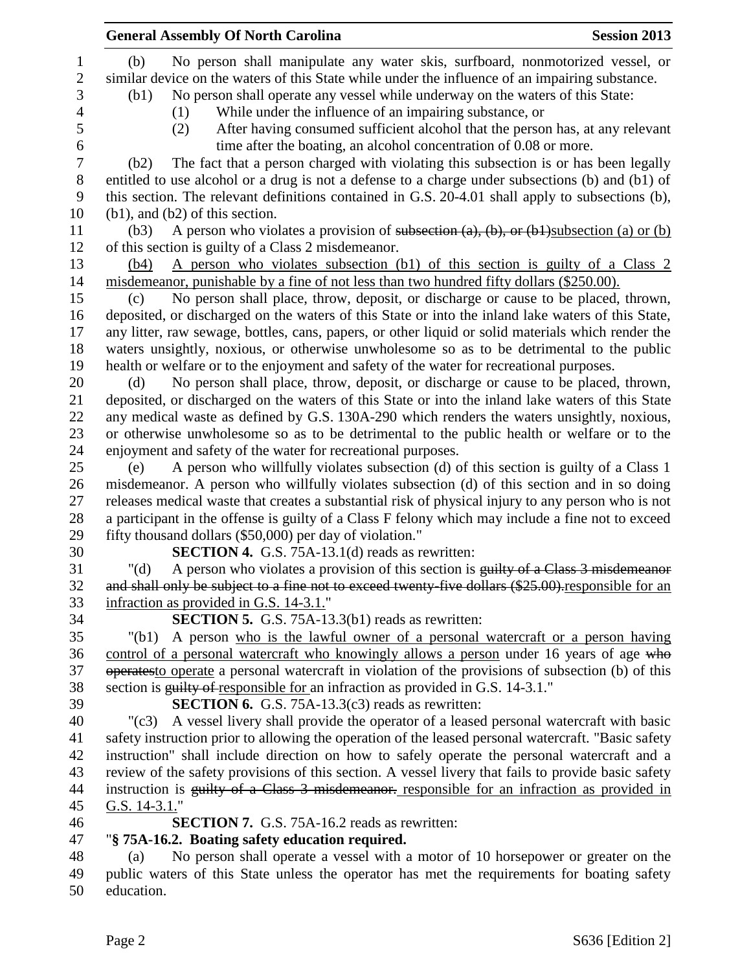|                       | <b>General Assembly Of North Carolina</b><br><b>Session 2013</b>                                                                                                                                      |
|-----------------------|-------------------------------------------------------------------------------------------------------------------------------------------------------------------------------------------------------|
| 1<br>$\boldsymbol{2}$ | No person shall manipulate any water skis, surfboard, nonmotorized vessel, or<br>(b)<br>similar device on the waters of this State while under the influence of an impairing substance.               |
| 3                     | No person shall operate any vessel while underway on the waters of this State:<br>(b1)                                                                                                                |
| 4                     | While under the influence of an impairing substance, or<br>(1)                                                                                                                                        |
| 5                     | After having consumed sufficient alcohol that the person has, at any relevant<br>(2)                                                                                                                  |
| 6                     | time after the boating, an alcohol concentration of 0.08 or more.                                                                                                                                     |
| $\tau$                | The fact that a person charged with violating this subsection is or has been legally<br>(b2)                                                                                                          |
| $8\,$                 | entitled to use alcohol or a drug is not a defense to a charge under subsections (b) and (b1) of                                                                                                      |
| 9                     | this section. The relevant definitions contained in G.S. 20-4.01 shall apply to subsections (b),                                                                                                      |
| 10<br>11              | $(b1)$ , and $(b2)$ of this section.                                                                                                                                                                  |
| 12                    | A person who violates a provision of subsection $(a)$ , $(b)$ , or $(b)$ subsection $(a)$ or $(b)$<br>(b3)<br>of this section is guilty of a Class 2 misdemeanor.                                     |
| 13                    | A person who violates subsection (b1) of this section is guilty of a Class 2<br>(b4)                                                                                                                  |
| 14                    | misdemeanor, punishable by a fine of not less than two hundred fifty dollars (\$250.00).                                                                                                              |
| 15                    | No person shall place, throw, deposit, or discharge or cause to be placed, thrown,<br>(c)                                                                                                             |
| 16                    | deposited, or discharged on the waters of this State or into the inland lake waters of this State,                                                                                                    |
| 17                    | any litter, raw sewage, bottles, cans, papers, or other liquid or solid materials which render the                                                                                                    |
| 18                    | waters unsightly, noxious, or otherwise unwholesome so as to be detrimental to the public                                                                                                             |
| 19                    | health or welfare or to the enjoyment and safety of the water for recreational purposes.                                                                                                              |
| 20                    | No person shall place, throw, deposit, or discharge or cause to be placed, thrown,<br>(d)                                                                                                             |
| 21                    | deposited, or discharged on the waters of this State or into the inland lake waters of this State                                                                                                     |
| 22                    | any medical waste as defined by G.S. 130A-290 which renders the waters unsightly, noxious,                                                                                                            |
| 23                    | or otherwise unwholesome so as to be detrimental to the public health or welfare or to the                                                                                                            |
| 24                    | enjoyment and safety of the water for recreational purposes.                                                                                                                                          |
| 25                    | A person who willfully violates subsection (d) of this section is guilty of a Class 1<br>(e)                                                                                                          |
| 26                    | misdemeanor. A person who willfully violates subsection (d) of this section and in so doing                                                                                                           |
| 27                    | releases medical waste that creates a substantial risk of physical injury to any person who is not                                                                                                    |
| 28                    | a participant in the offense is guilty of a Class F felony which may include a fine not to exceed                                                                                                     |
| 29                    | fifty thousand dollars (\$50,000) per day of violation."                                                                                                                                              |
| 30<br>31              | <b>SECTION 4.</b> G.S. 75A-13.1(d) reads as rewritten:                                                                                                                                                |
| 32                    | A person who violates a provision of this section is guilty of a Class 3 misdemeanor<br>" $(d)$<br>and shall only be subject to a fine not to exceed twenty-five dollars (\$25.00)-responsible for an |
| 33                    | infraction as provided in G.S. 14-3.1."                                                                                                                                                               |
| 34                    | <b>SECTION 5.</b> G.S. 75A-13.3(b1) reads as rewritten:                                                                                                                                               |
| 35                    | A person who is the lawful owner of a personal watercraft or a person having<br>"(b1)                                                                                                                 |
| 36                    | control of a personal watercraft who knowingly allows a person under 16 years of age who                                                                                                              |
| 37                    | operatesto operate a personal watercraft in violation of the provisions of subsection (b) of this                                                                                                     |
| 38                    | section is guilty of responsible for an infraction as provided in G.S. 14-3.1."                                                                                                                       |
| 39                    | <b>SECTION 6.</b> G.S. 75A-13.3(c3) reads as rewritten:                                                                                                                                               |
| 40                    | A vessel livery shall provide the operator of a leased personal watercraft with basic<br>$"({c}3)$                                                                                                    |
| 41                    | safety instruction prior to allowing the operation of the leased personal watercraft. "Basic safety                                                                                                   |
| 42                    | instruction" shall include direction on how to safely operate the personal watercraft and a                                                                                                           |
| 43                    | review of the safety provisions of this section. A vessel livery that fails to provide basic safety                                                                                                   |
| 44                    | instruction is guilty of a Class 3 misdemeanor. responsible for an infraction as provided in                                                                                                          |
| 45                    | G.S. $14-3.1$ .                                                                                                                                                                                       |
| $46\,$                | <b>SECTION 7.</b> G.S. 75A-16.2 reads as rewritten:                                                                                                                                                   |
| 47                    | "§ 75A-16.2. Boating safety education required.                                                                                                                                                       |
| 48                    | No person shall operate a vessel with a motor of 10 horsepower or greater on the<br>(a)                                                                                                               |
| 49                    | public waters of this State unless the operator has met the requirements for boating safety                                                                                                           |
| 50                    | education.                                                                                                                                                                                            |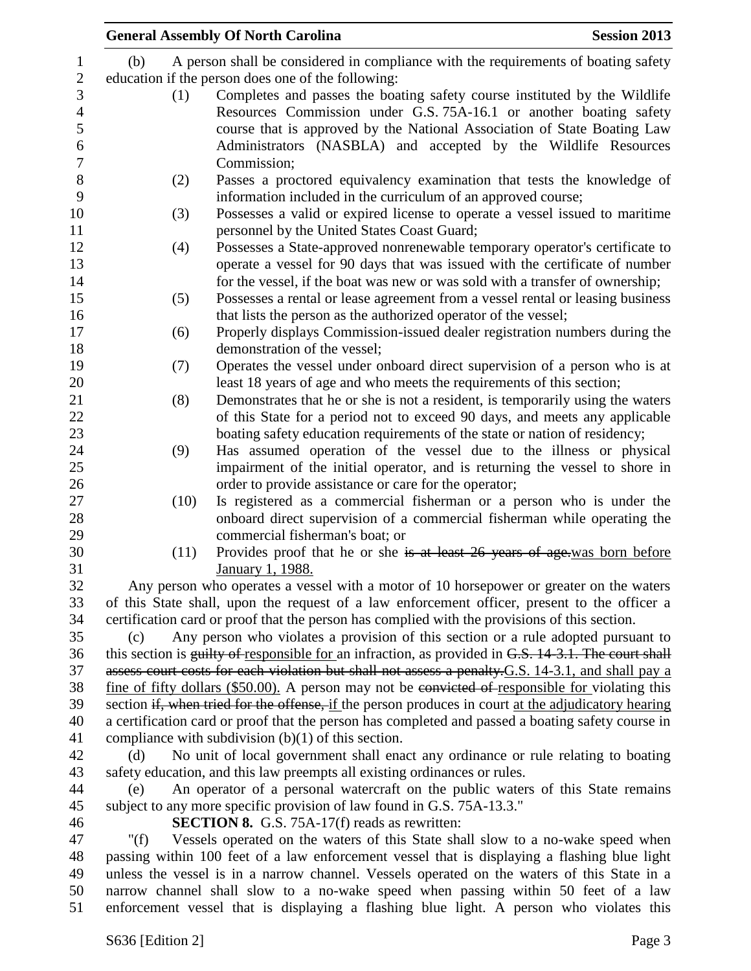|                                                                                                                                                                  |                                                                                              | <b>General Assembly Of North Carolina</b>                                                                                                                                                                                                                                                                    | <b>Session 2013</b> |  |  |
|------------------------------------------------------------------------------------------------------------------------------------------------------------------|----------------------------------------------------------------------------------------------|--------------------------------------------------------------------------------------------------------------------------------------------------------------------------------------------------------------------------------------------------------------------------------------------------------------|---------------------|--|--|
|                                                                                                                                                                  | (b)                                                                                          | A person shall be considered in compliance with the requirements of boating safety                                                                                                                                                                                                                           |                     |  |  |
|                                                                                                                                                                  |                                                                                              | education if the person does one of the following:                                                                                                                                                                                                                                                           |                     |  |  |
|                                                                                                                                                                  | (1)                                                                                          | Completes and passes the boating safety course instituted by the Wildlife<br>Resources Commission under G.S. 75A-16.1 or another boating safety<br>course that is approved by the National Association of State Boating Law<br>Administrators (NASBLA) and accepted by the Wildlife Resources<br>Commission; |                     |  |  |
|                                                                                                                                                                  | (2)                                                                                          | Passes a proctored equivalency examination that tests the knowledge of                                                                                                                                                                                                                                       |                     |  |  |
|                                                                                                                                                                  | (3)                                                                                          | information included in the curriculum of an approved course;<br>Possesses a valid or expired license to operate a vessel issued to maritime<br>personnel by the United States Coast Guard;                                                                                                                  |                     |  |  |
|                                                                                                                                                                  | (4)                                                                                          | Possesses a State-approved nonrenewable temporary operator's certificate to<br>operate a vessel for 90 days that was issued with the certificate of number<br>for the vessel, if the boat was new or was sold with a transfer of ownership;                                                                  |                     |  |  |
|                                                                                                                                                                  | (5)                                                                                          | Possesses a rental or lease agreement from a vessel rental or leasing business<br>that lists the person as the authorized operator of the vessel;                                                                                                                                                            |                     |  |  |
|                                                                                                                                                                  | (6)                                                                                          | Properly displays Commission-issued dealer registration numbers during the<br>demonstration of the vessel;                                                                                                                                                                                                   |                     |  |  |
|                                                                                                                                                                  | (7)                                                                                          | Operates the vessel under onboard direct supervision of a person who is at<br>least 18 years of age and who meets the requirements of this section;                                                                                                                                                          |                     |  |  |
|                                                                                                                                                                  | (8)                                                                                          | Demonstrates that he or she is not a resident, is temporarily using the waters<br>of this State for a period not to exceed 90 days, and meets any applicable<br>boating safety education requirements of the state or nation of residency;                                                                   |                     |  |  |
|                                                                                                                                                                  | (9)                                                                                          | Has assumed operation of the vessel due to the illness or physical<br>impairment of the initial operator, and is returning the vessel to shore in<br>order to provide assistance or care for the operator;                                                                                                   |                     |  |  |
|                                                                                                                                                                  | (10)                                                                                         | Is registered as a commercial fisherman or a person who is under the<br>onboard direct supervision of a commercial fisherman while operating the<br>commercial fisherman's boat; or                                                                                                                          |                     |  |  |
|                                                                                                                                                                  | (11)                                                                                         | Provides proof that he or she is at least 26 years of age.was born before<br>January 1, 1988.                                                                                                                                                                                                                |                     |  |  |
|                                                                                                                                                                  |                                                                                              | Any person who operates a vessel with a motor of 10 horsepower or greater on the waters                                                                                                                                                                                                                      |                     |  |  |
|                                                                                                                                                                  |                                                                                              | of this State shall, upon the request of a law enforcement officer, present to the officer a<br>certification card or proof that the person has complied with the provisions of this section.                                                                                                                |                     |  |  |
|                                                                                                                                                                  | (c)                                                                                          | Any person who violates a provision of this section or a rule adopted pursuant to                                                                                                                                                                                                                            |                     |  |  |
|                                                                                                                                                                  |                                                                                              | this section is guilty of responsible for an infraction, as provided in G.S. 14-3.1. The court shall                                                                                                                                                                                                         |                     |  |  |
|                                                                                                                                                                  |                                                                                              | assess court costs for each violation but shall not assess a penalty. G.S. 14-3.1, and shall pay a                                                                                                                                                                                                           |                     |  |  |
|                                                                                                                                                                  |                                                                                              | fine of fifty dollars (\$50.00). A person may not be convicted of responsible for violating this                                                                                                                                                                                                             |                     |  |  |
|                                                                                                                                                                  |                                                                                              | section if, when tried for the offense, if the person produces in court at the adjudicatory hearing                                                                                                                                                                                                          |                     |  |  |
|                                                                                                                                                                  |                                                                                              | a certification card or proof that the person has completed and passed a boating safety course in                                                                                                                                                                                                            |                     |  |  |
|                                                                                                                                                                  |                                                                                              | compliance with subdivision $(b)(1)$ of this section.                                                                                                                                                                                                                                                        |                     |  |  |
|                                                                                                                                                                  | (d)                                                                                          | No unit of local government shall enact any ordinance or rule relating to boating                                                                                                                                                                                                                            |                     |  |  |
| safety education, and this law preempts all existing ordinances or rules.                                                                                        |                                                                                              |                                                                                                                                                                                                                                                                                                              |                     |  |  |
| An operator of a personal watercraft on the public waters of this State remains<br>(e)<br>subject to any more specific provision of law found in G.S. 75A-13.3." |                                                                                              |                                                                                                                                                                                                                                                                                                              |                     |  |  |
| <b>SECTION 8.</b> G.S. 75A-17(f) reads as rewritten:                                                                                                             |                                                                                              |                                                                                                                                                                                                                                                                                                              |                     |  |  |
|                                                                                                                                                                  | " $(f)$                                                                                      | Vessels operated on the waters of this State shall slow to a no-wake speed when                                                                                                                                                                                                                              |                     |  |  |
|                                                                                                                                                                  | passing within 100 feet of a law enforcement vessel that is displaying a flashing blue light |                                                                                                                                                                                                                                                                                                              |                     |  |  |
|                                                                                                                                                                  |                                                                                              | unless the vessel is in a narrow channel. Vessels operated on the waters of this State in a                                                                                                                                                                                                                  |                     |  |  |
|                                                                                                                                                                  | narrow channel shall slow to a no-wake speed when passing within 50 feet of a law            |                                                                                                                                                                                                                                                                                                              |                     |  |  |
|                                                                                                                                                                  | enforcement vessel that is displaying a flashing blue light. A person who violates this      |                                                                                                                                                                                                                                                                                                              |                     |  |  |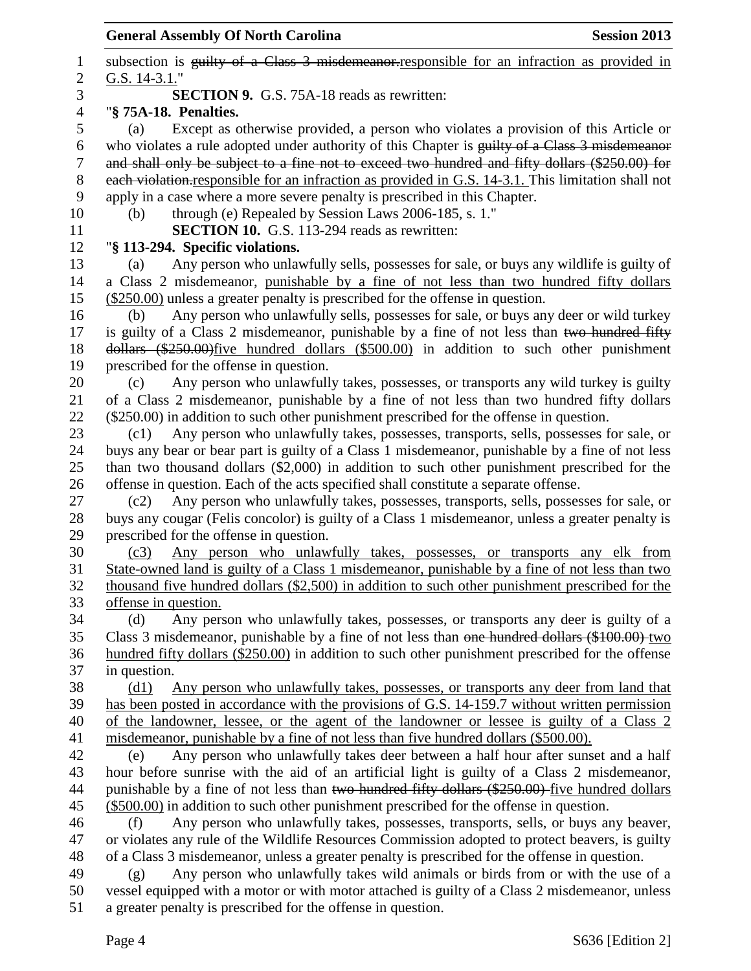**General Assembly Of North Carolina Session 2013** 1 subsection is guilty of a Class 3 misdemeanor responsible for an infraction as provided in G.S. 14-3.1." **SECTION 9.** G.S. 75A-18 reads as rewritten: "**§ 75A-18. Penalties.** (a) Except as otherwise provided, a person who violates a provision of this Article or who violates a rule adopted under authority of this Chapter is guilty of a Class 3 misdemeanor and shall only be subject to a fine not to exceed two hundred and fifty dollars (\$250.00) for each violation.responsible for an infraction as provided in G.S. 14-3.1. This limitation shall not apply in a case where a more severe penalty is prescribed in this Chapter. (b) through (e) Repealed by Session Laws 2006-185, s. 1." **SECTION 10.** G.S. 113-294 reads as rewritten: "**§ 113-294. Specific violations.** (a) Any person who unlawfully sells, possesses for sale, or buys any wildlife is guilty of a Class 2 misdemeanor, punishable by a fine of not less than two hundred fifty dollars (\$250.00) unless a greater penalty is prescribed for the offense in question. (b) Any person who unlawfully sells, possesses for sale, or buys any deer or wild turkey 17 is guilty of a Class 2 misdemeanor, punishable by a fine of not less than two hundred fifty dollars (\$250.00)five hundred dollars (\$500.00) in addition to such other punishment prescribed for the offense in question. (c) Any person who unlawfully takes, possesses, or transports any wild turkey is guilty of a Class 2 misdemeanor, punishable by a fine of not less than two hundred fifty dollars (\$250.00) in addition to such other punishment prescribed for the offense in question. (c1) Any person who unlawfully takes, possesses, transports, sells, possesses for sale, or buys any bear or bear part is guilty of a Class 1 misdemeanor, punishable by a fine of not less than two thousand dollars (\$2,000) in addition to such other punishment prescribed for the offense in question. Each of the acts specified shall constitute a separate offense. (c2) Any person who unlawfully takes, possesses, transports, sells, possesses for sale, or buys any cougar (Felis concolor) is guilty of a Class 1 misdemeanor, unless a greater penalty is prescribed for the offense in question. (c3) Any person who unlawfully takes, possesses, or transports any elk from State-owned land is guilty of a Class 1 misdemeanor, punishable by a fine of not less than two thousand five hundred dollars (\$2,500) in addition to such other punishment prescribed for the offense in question. (d) Any person who unlawfully takes, possesses, or transports any deer is guilty of a Class 3 misdemeanor, punishable by a fine of not less than one hundred dollars (\$100.00) two hundred fifty dollars (\$250.00) in addition to such other punishment prescribed for the offense in question. (d1) Any person who unlawfully takes, possesses, or transports any deer from land that has been posted in accordance with the provisions of G.S. 14-159.7 without written permission of the landowner, lessee, or the agent of the landowner or lessee is guilty of a Class 2 misdemeanor, punishable by a fine of not less than five hundred dollars (\$500.00). (e) Any person who unlawfully takes deer between a half hour after sunset and a half hour before sunrise with the aid of an artificial light is guilty of a Class 2 misdemeanor, 44 punishable by a fine of not less than two hundred fifty dollars (\$250.00) five hundred dollars (\$500.00) in addition to such other punishment prescribed for the offense in question. (f) Any person who unlawfully takes, possesses, transports, sells, or buys any beaver, or violates any rule of the Wildlife Resources Commission adopted to protect beavers, is guilty of a Class 3 misdemeanor, unless a greater penalty is prescribed for the offense in question. (g) Any person who unlawfully takes wild animals or birds from or with the use of a vessel equipped with a motor or with motor attached is guilty of a Class 2 misdemeanor, unless a greater penalty is prescribed for the offense in question.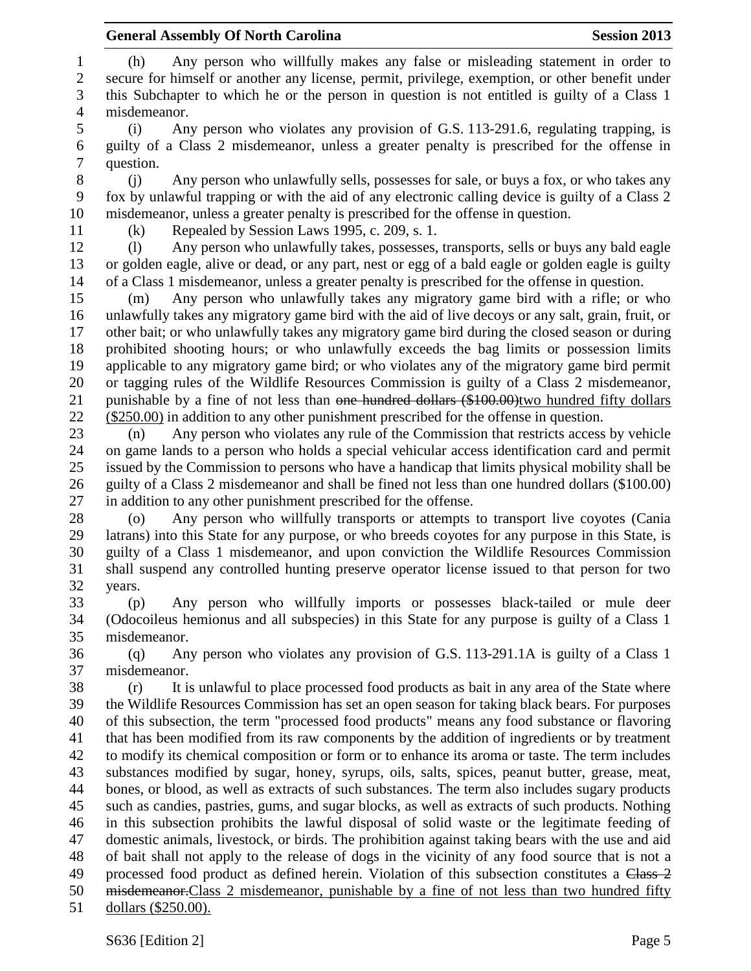(h) Any person who willfully makes any false or misleading statement in order to secure for himself or another any license, permit, privilege, exemption, or other benefit under this Subchapter to which he or the person in question is not entitled is guilty of a Class 1 misdemeanor. (i) Any person who violates any provision of G.S. 113-291.6, regulating trapping, is guilty of a Class 2 misdemeanor, unless a greater penalty is prescribed for the offense in question. (j) Any person who unlawfully sells, possesses for sale, or buys a fox, or who takes any fox by unlawful trapping or with the aid of any electronic calling device is guilty of a Class 2 misdemeanor, unless a greater penalty is prescribed for the offense in question. (k) Repealed by Session Laws 1995, c. 209, s. 1. (l) Any person who unlawfully takes, possesses, transports, sells or buys any bald eagle or golden eagle, alive or dead, or any part, nest or egg of a bald eagle or golden eagle is guilty of a Class 1 misdemeanor, unless a greater penalty is prescribed for the offense in question. (m) Any person who unlawfully takes any migratory game bird with a rifle; or who unlawfully takes any migratory game bird with the aid of live decoys or any salt, grain, fruit, or other bait; or who unlawfully takes any migratory game bird during the closed season or during prohibited shooting hours; or who unlawfully exceeds the bag limits or possession limits applicable to any migratory game bird; or who violates any of the migratory game bird permit or tagging rules of the Wildlife Resources Commission is guilty of a Class 2 misdemeanor, 21 punishable by a fine of not less than <del>one hundred dollars (\$100.00)</del>two hundred fifty dollars (\$250.00) in addition to any other punishment prescribed for the offense in question. (n) Any person who violates any rule of the Commission that restricts access by vehicle on game lands to a person who holds a special vehicular access identification card and permit issued by the Commission to persons who have a handicap that limits physical mobility shall be guilty of a Class 2 misdemeanor and shall be fined not less than one hundred dollars (\$100.00) in addition to any other punishment prescribed for the offense. (o) Any person who willfully transports or attempts to transport live coyotes (Cania latrans) into this State for any purpose, or who breeds coyotes for any purpose in this State, is guilty of a Class 1 misdemeanor, and upon conviction the Wildlife Resources Commission shall suspend any controlled hunting preserve operator license issued to that person for two years. (p) Any person who willfully imports or possesses black-tailed or mule deer (Odocoileus hemionus and all subspecies) in this State for any purpose is guilty of a Class 1 misdemeanor. (q) Any person who violates any provision of G.S. 113-291.1A is guilty of a Class 1 misdemeanor. (r) It is unlawful to place processed food products as bait in any area of the State where the Wildlife Resources Commission has set an open season for taking black bears. For purposes of this subsection, the term "processed food products" means any food substance or flavoring that has been modified from its raw components by the addition of ingredients or by treatment to modify its chemical composition or form or to enhance its aroma or taste. The term includes substances modified by sugar, honey, syrups, oils, salts, spices, peanut butter, grease, meat, bones, or blood, as well as extracts of such substances. The term also includes sugary products such as candies, pastries, gums, and sugar blocks, as well as extracts of such products. Nothing in this subsection prohibits the lawful disposal of solid waste or the legitimate feeding of domestic animals, livestock, or birds. The prohibition against taking bears with the use and aid of bait shall not apply to the release of dogs in the vicinity of any food source that is not a 49 processed food product as defined herein. Violation of this subsection constitutes a Class 2 misdemeanor.Class 2 misdemeanor, punishable by a fine of not less than two hundred fifty dollars (\$250.00).